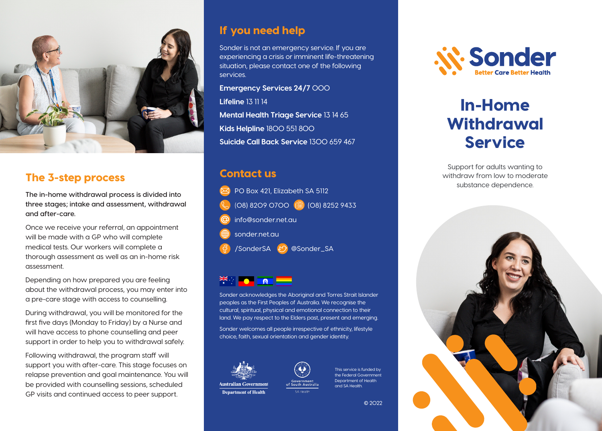

# The 3-step process

**The in-home withdrawal process is divided into three stages; intake and assessment, withdrawal and after-care.**

Once we receive your referral, an appointment will be made with a GP who will complete medical tests. Our workers will complete a thorough assessment as well as an in-home risk assessment.

Depending on how prepared you are feeling about the withdrawal process, you may enter into a pre-care stage with access to counselling.

During withdrawal, you will be monitored for the first five days (Monday to Friday) by a Nurse and will have access to phone counselling and peer support in order to help you to withdrawal safely.

Following withdrawal, the program staff will support you with after-care. This stage focuses on relapse prevention and goal maintenance. You will be provided with counselling sessions, scheduled GP visits and continued access to peer support.

## If you need help

Sonder is not an emergency service. If you are experiencing a crisis or imminent life-threatening situation, please contact one of the following services.

**Emergency Services 24/7** 000

**Lifeline** 13 11 14

**Mental Health Triage Service** 13 14 65 **Kids Helpline** 1800 551 800 **Suicide Call Back Service** 1300 659 467

# Contact us

PO Box 421, Elizabeth SA 5112 (08) 8209 0700 (a) (08) 8252 9433 info@sonder.net.au sonder.net.au /SonderSA @Sonder\_SA



Sonder acknowledges the Aboriginal and Torres Strait Islander peoples as the First Peoples of Australia. We recognise the cultural, spiritual, physical and emotional connection to their land. We pay respect to the Elders past, present and emerging.

Sonder welcomes all people irrespective of ethnicity, lifestyle choice, faith, sexual orientation and gender identity.





This service is funded by the Federal Government Department of Health and SA Health.





# In-Home **Withdrawal** Service

Support for adults wanting to withdraw from low to moderate substance dependence.